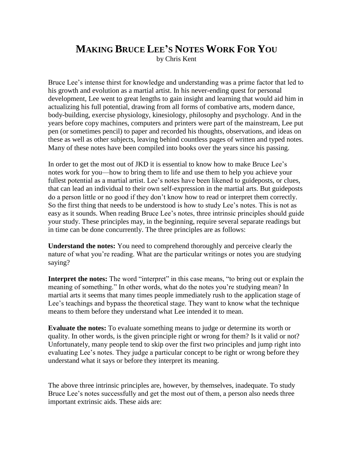## **MAKING BRUCE LEE'S NOTES WORK FOR YOU** by Chris Kent

Bruce Lee's intense thirst for knowledge and understanding was a prime factor that led to his growth and evolution as a martial artist. In his never-ending quest for personal development, Lee went to great lengths to gain insight and learning that would aid him in actualizing his full potential, drawing from all forms of combative arts, modern dance, body-building, exercise physiology, kinesiology, philosophy and psychology. And in the years before copy machines, computers and printers were part of the mainstream, Lee put pen (or sometimes pencil) to paper and recorded his thoughts, observations, and ideas on these as well as other subjects, leaving behind countless pages of written and typed notes. Many of these notes have been compiled into books over the years since his passing.

In order to get the most out of JKD it is essential to know how to make Bruce Lee's notes work for you—how to bring them to life and use them to help you achieve your fullest potential as a martial artist. Lee's notes have been likened to guideposts, or clues, that can lead an individual to their own self-expression in the martial arts. But guideposts do a person little or no good if they don't know how to read or interpret them correctly. So the first thing that needs to be understood is how to study Lee's notes. This is not as easy as it sounds. When reading Bruce Lee's notes, three intrinsic principles should guide your study. These principles may, in the beginning, require several separate readings but in time can be done concurrently. The three principles are as follows:

**Understand the notes:** You need to comprehend thoroughly and perceive clearly the nature of what you're reading. What are the particular writings or notes you are studying saying?

**Interpret the notes:** The word "interpret" in this case means, "to bring out or explain the meaning of something." In other words, what do the notes you're studying mean? In martial arts it seems that many times people immediately rush to the application stage of Lee's teachings and bypass the theoretical stage. They want to know what the technique means to them before they understand what Lee intended it to mean.

**Evaluate the notes:** To evaluate something means to judge or determine its worth or quality. In other words, is the given principle right or wrong for them? Is it valid or not? Unfortunately, many people tend to skip over the first two principles and jump right into evaluating Lee's notes. They judge a particular concept to be right or wrong before they understand what it says or before they interpret its meaning.

The above three intrinsic principles are, however, by themselves, inadequate. To study Bruce Lee's notes successfully and get the most out of them, a person also needs three important extrinsic aids. These aids are: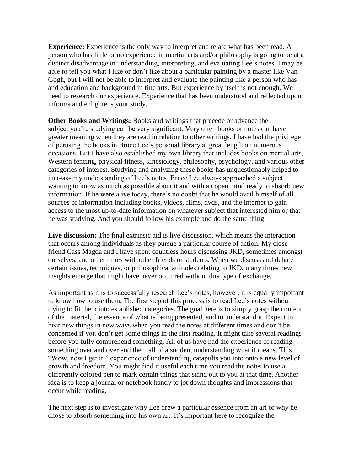**Experience:** Experience is the only way to interpret and relate what has been read. A person who has little or no experience in martial arts and/or philosophy is going to be at a distinct disadvantage in understanding, interpreting, and evaluating Lee's notes. I may be able to tell you what I like or don't like about a particular painting by a master like Van Gogh, but I will not be able to interpret and evaluate the painting like a person who has and education and background in fine arts. But experience by itself is not enough. We need to research our experience. Experience that has been understood and reflected upon informs and enlightens your study.

**Other Books and Writings:** Books and writings that precede or advance the subject you're studying can be very significant. Very often books or notes can have greater meaning when they are read in relation to other writings. I have had the privilege of perusing the books in Bruce Lee's personal library at great length on numerous occasions. But I have also established my own library that includes books on martial arts, Western fencing, physical fitness, kinesiology, philosophy, psychology, and various other categories of interest. Studying and analyzing these books has unquestionably helped to increase my understanding of Lee's notes. Bruce Lee always approached a subject wanting to know as much as possible about it and with an open mind ready to absorb new information. If he were alive today, there's no doubt that he would avail himself of all sources of information including books, videos, films, dvds, and the internet to gain access to the most up-to-date information on whatever subject that interested him or that he was studying. And you should follow his example and do the same thing.

**Live discussion:** The final extrinsic aid is live discussion, which means the interaction that occurs among individuals as they pursue a particular course of action. My close friend Cass Magda and I have spent countless hours discussing JKD, sometimes amongst ourselves, and other times with other friends or students. When we discuss and debate certain issues, techniques, or philosophical attitudes relating to JKD, many times new insights emerge that might have never occurred without this type of exchange.

As important as it is to successfully research Lee's notes, however, it is equally important to know how to use them. The first step of this process is to read Lee's notes without trying to fit them into established categories. The goal here is to simply grasp the content of the material, the essence of what is being presented, and to understand it. Expect to hear new things in new ways when you read the notes at different times and don't be concerned if you don't get some things in the first reading. It might take several readings before you fully comprehend something. All of us have had the experience of reading something over and over and then, all of a sudden, understanding what it means. This "Wow, now I get it!" experience of understanding catapults you into onto a new level of growth and freedom. You might find it useful each time you read the notes to use a differently colored pen to mark certain things that stand out to you at that time. Another idea is to keep a journal or notebook handy to jot down thoughts and impressions that occur while reading.

The next step is to investigate why Lee drew a particular essence from an art or why he chose to absorb something into his own art. It's important here to recognize the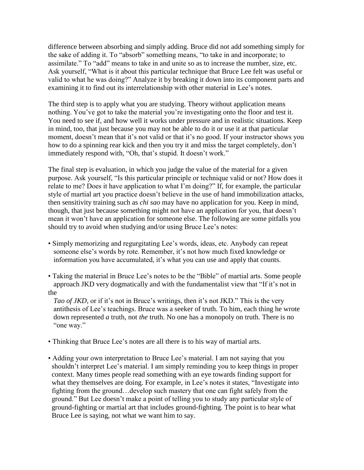difference between absorbing and simply adding. Bruce did not add something simply for the sake of adding it. To "absorb" something means, "to take in and incorporate; to assimilate." To "add" means to take in and unite so as to increase the number, size, etc. Ask yourself, "What is it about this particular technique that Bruce Lee felt was useful or valid to what he was doing?" Analyze it by breaking it down into its component parts and examining it to find out its interrelationship with other material in Lee's notes.

The third step is to apply what you are studying. Theory without application means nothing. You've got to take the material you're investigating onto the floor and test it. You need to see if, and how well it works under pressure and in realistic situations. Keep in mind, too, that just because you may not be able to do it or use it at that particular moment, doesn't mean that it's not valid or that it's no good. If your instructor shows you how to do a spinning rear kick and then you try it and miss the target completely, don't immediately respond with, "Oh, that's stupid. It doesn't work."

The final step is evaluation, in which you judge the value of the material for a given purpose. Ask yourself, "Is this particular principle or technique valid or not? How does it relate to me? Does it have application to what I'm doing?" If, for example, the particular style of martial art you practice doesn't believe in the use of hand immobilization attacks, then sensitivity training such as *chi sao* may have no application for you. Keep in mind, though, that just because something might not have an application for you, that doesn't mean it won't have an application for someone else. The following are some pitfalls you should try to avoid when studying and/or using Bruce Lee's notes:

- Simply memorizing and regurgitating Lee's words, ideas, etc. Anybody can repeat someone else's words by rote. Remember, it's not how much fixed knowledge or information you have accumulated, it's what you can use and apply that counts.
- Taking the material in Bruce Lee's notes to be the "Bible" of martial arts. Some people approach JKD very dogmatically and with the fundamentalist view that "If it's not in the

 *Tao of JKD,* or if it's not in Bruce's writings, then it's not JKD." This is the very antithesis of Lee's teachings. Bruce was a seeker of truth. To him, each thing he wrote down represented *a* truth, not *the* truth. No one has a monopoly on truth. There is no "one way."

- Thinking that Bruce Lee's notes are all there is to his way of martial arts.
- Adding your own interpretation to Bruce Lee's material. I am not saying that you shouldn't interpret Lee's material. I am simply reminding you to keep things in proper context. Many times people read something with an eye towards finding support for what they themselves are doing. For example, in Lee's notes it states, "Investigate into fighting from the ground…develop such mastery that one can fight safely from the ground." But Lee doesn't make a point of telling you to study any particular style of ground-fighting or martial art that includes ground-fighting. The point is to hear what Bruce Lee is saying, not what we want him to say.